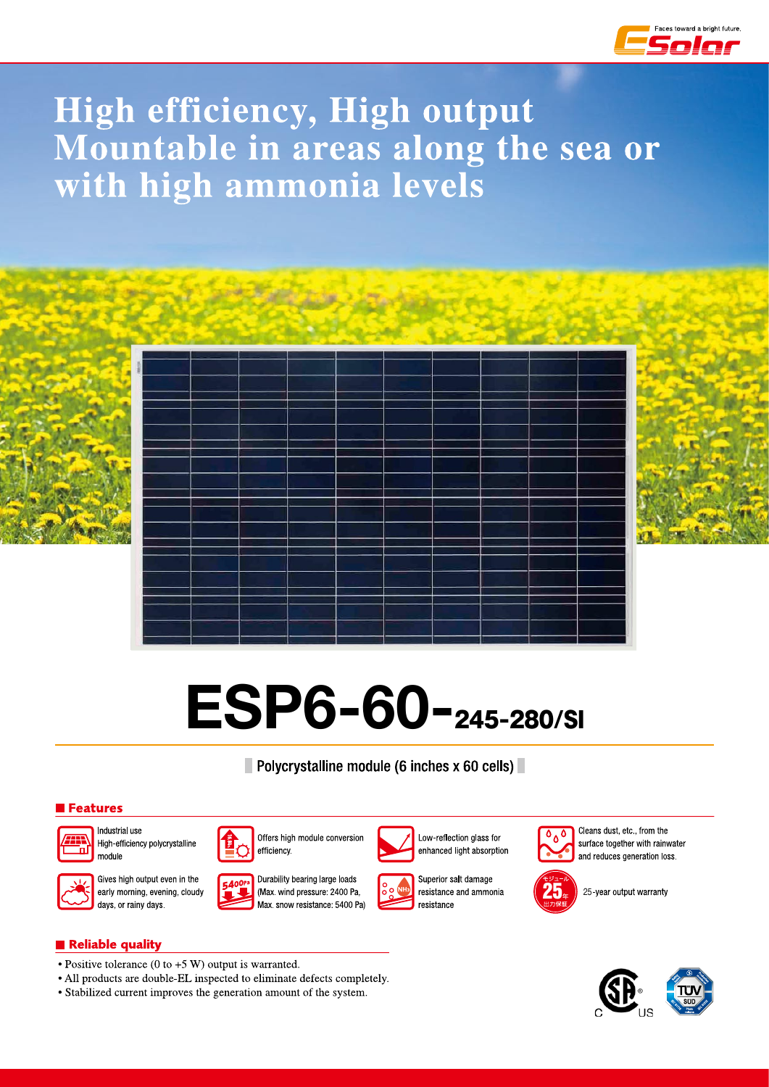

## High efficiency, High output Mountable in areas along the sea or with high ammonia levels







# ESP6-60-245-280/SI

Polycrystalline module (6 inches x 60 cells)

#### Features



Industrial use High-efficiency polycrystalline module



Gives high output even in the early morning, evening, cloudy days, or rainy days.



Durability bearing large loads

efficiency.



Offers high module conversion



Superior salt damage resistance and ammonia resistance

Low-reflection glass for

enhanced light absorption



Cleans dust, etc., from the surface together with rainwater and reduces generation loss.







#### Reliable quality

- Positive tolerance (0 to  $+5$  W) output is warranted.
- All products are double-EL inspected to eliminate defects completely.
- Stabilized current improves the generation amount of the system.